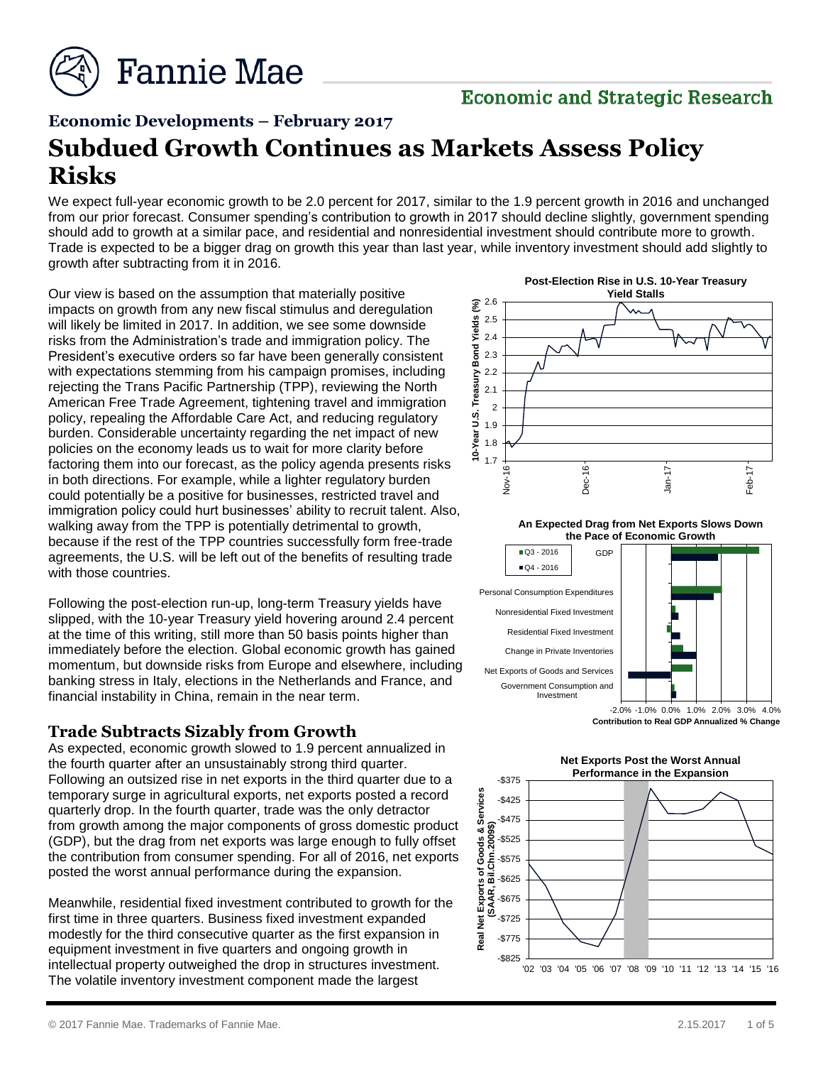

# **Economic and Strategic Research**

# **Economic Developments – February 2017**

# **Subdued Growth Continues as Markets Assess Policy Risks**

We expect full-year economic growth to be 2.0 percent for 2017, similar to the 1.9 percent growth in 2016 and unchanged from our prior forecast. Consumer spending's contribution to growth in 2017 should decline slightly, government spending should add to growth at a similar pace, and residential and nonresidential investment should contribute more to growth. Trade is expected to be a bigger drag on growth this year than last year, while inventory investment should add slightly to growth after subtracting from it in 2016.

Our view is based on the assumption that materially positive impacts on growth from any new fiscal stimulus and deregulation will likely be limited in 2017. In addition, we see some downside risks from the Administration's trade and immigration policy. The President's executive orders so far have been generally consistent with expectations stemming from his campaign promises, including rejecting the Trans Pacific Partnership (TPP), reviewing the North American Free Trade Agreement, tightening travel and immigration policy, repealing the Affordable Care Act, and reducing regulatory burden. Considerable uncertainty regarding the net impact of new policies on the economy leads us to wait for more clarity before factoring them into our forecast, as the policy agenda presents risks in both directions. For example, while a lighter regulatory burden could potentially be a positive for businesses, restricted travel and immigration policy could hurt businesses' ability to recruit talent. Also, walking away from the TPP is potentially detrimental to growth, because if the rest of the TPP countries successfully form free-trade agreements, the U.S. will be left out of the benefits of resulting trade with those countries.

Following the post-election run-up, long-term Treasury yields have slipped, with the 10-year Treasury yield hovering around 2.4 percent at the time of this writing, still more than 50 basis points higher than immediately before the election. Global economic growth has gained momentum, but downside risks from Europe and elsewhere, including banking stress in Italy, elections in the Netherlands and France, and financial instability in China, remain in the near term.

## **Trade Subtracts Sizably from Growth**

As expected, economic growth slowed to 1.9 percent annualized in the fourth quarter after an unsustainably strong third quarter. Following an outsized rise in net exports in the third quarter due to a temporary surge in agricultural exports, net exports posted a record quarterly drop. In the fourth quarter, trade was the only detractor from growth among the major components of gross domestic product (GDP), but the drag from net exports was large enough to fully offset the contribution from consumer spending. For all of 2016, net exports posted the worst annual performance during the expansion.

Meanwhile, residential fixed investment contributed to growth for the first time in three quarters. Business fixed investment expanded modestly for the third consecutive quarter as the first expansion in equipment investment in five quarters and ongoing growth in intellectual property outweighed the drop in structures investment. The volatile inventory investment component made the largest



**An Expected Drag from Net Exports Slows Down the Pace of Economic Growth**



Q3 - 2016

**Contribution to Real GDP Annualized % Change**

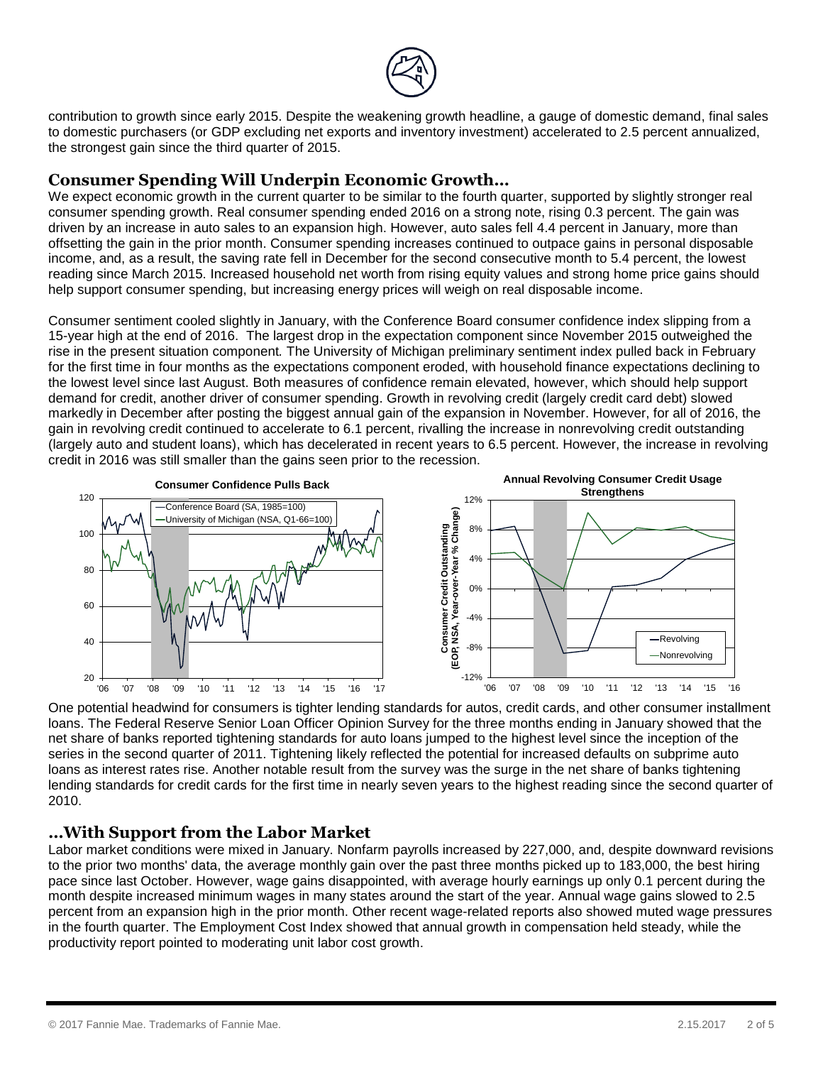

contribution to growth since early 2015. Despite the weakening growth headline, a gauge of domestic demand, final sales to domestic purchasers (or GDP excluding net exports and inventory investment) accelerated to 2.5 percent annualized, the strongest gain since the third quarter of 2015.

## **Consumer Spending Will Underpin Economic Growth…**

We expect economic growth in the current quarter to be similar to the fourth quarter, supported by slightly stronger real consumer spending growth. Real consumer spending ended 2016 on a strong note, rising 0.3 percent. The gain was driven by an increase in auto sales to an expansion high. However, auto sales fell 4.4 percent in January, more than offsetting the gain in the prior month. Consumer spending increases continued to outpace gains in personal disposable income, and, as a result, the saving rate fell in December for the second consecutive month to 5.4 percent, the lowest reading since March 2015. Increased household net worth from rising equity values and strong home price gains should help support consumer spending, but increasing energy prices will weigh on real disposable income.

Consumer sentiment cooled slightly in January, with the Conference Board consumer confidence index slipping from a 15-year high at the end of 2016. The largest drop in the expectation component since November 2015 outweighed the rise in the present situation component*.* The University of Michigan preliminary sentiment index pulled back in February for the first time in four months as the expectations component eroded, with household finance expectations declining to the lowest level since last August. Both measures of confidence remain elevated, however, which should help support demand for credit, another driver of consumer spending. Growth in revolving credit (largely credit card debt) slowed markedly in December after posting the biggest annual gain of the expansion in November. However, for all of 2016, the gain in revolving credit continued to accelerate to 6.1 percent, rivalling the increase in nonrevolving credit outstanding (largely auto and student loans), which has decelerated in recent years to 6.5 percent. However, the increase in revolving credit in 2016 was still smaller than the gains seen prior to the recession.



One potential headwind for consumers is tighter lending standards for autos, credit cards, and other consumer installment loans. The Federal Reserve Senior Loan Officer Opinion Survey for the three months ending in January showed that the net share of banks reported tightening standards for auto loans jumped to the highest level since the inception of the series in the second quarter of 2011. Tightening likely reflected the potential for increased defaults on subprime auto loans as interest rates rise. Another notable result from the survey was the surge in the net share of banks tightening lending standards for credit cards for the first time in nearly seven years to the highest reading since the second quarter of 2010.

# **…With Support from the Labor Market**

Labor market conditions were mixed in January. Nonfarm payrolls increased by 227,000, and, despite downward revisions to the prior two months' data, the average monthly gain over the past three months picked up to 183,000, the best hiring pace since last October. However, wage gains disappointed, with average hourly earnings up only 0.1 percent during the month despite increased minimum wages in many states around the start of the year. Annual wage gains slowed to 2.5 percent from an expansion high in the prior month. Other recent wage-related reports also showed muted wage pressures in the fourth quarter. The Employment Cost Index showed that annual growth in compensation held steady, while the productivity report pointed to moderating unit labor cost growth.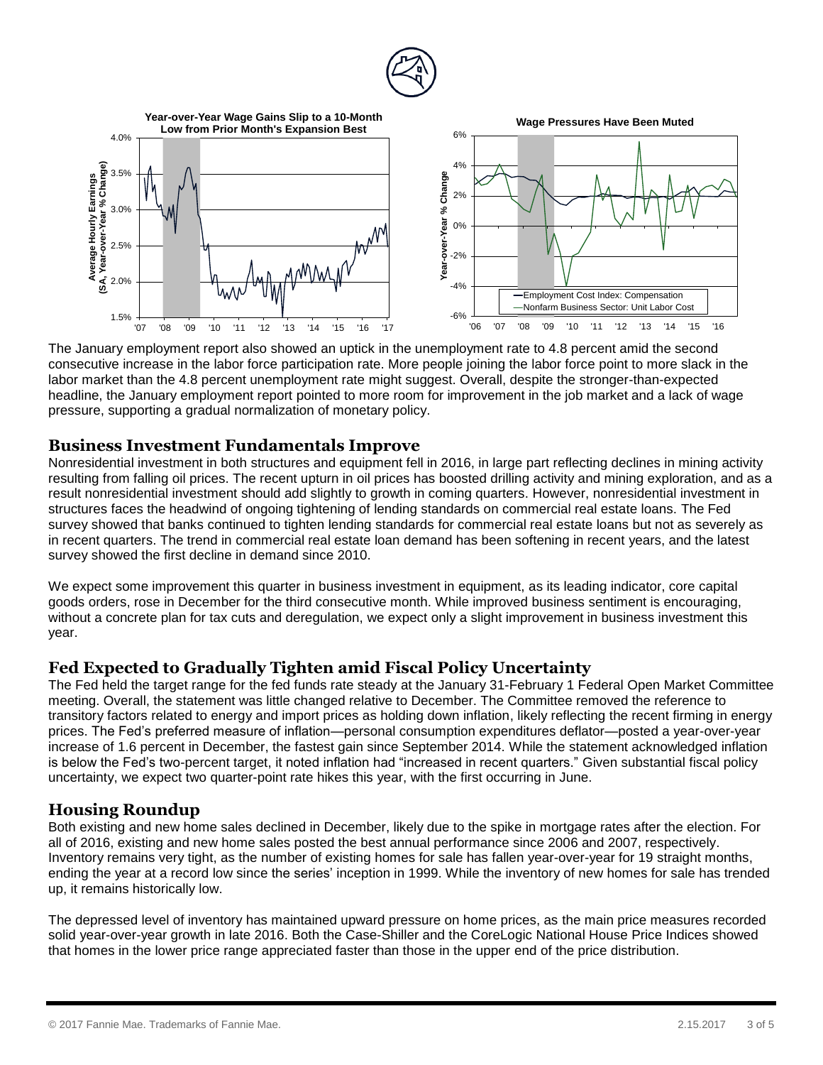



The January employment report also showed an uptick in the unemployment rate to 4.8 percent amid the second consecutive increase in the labor force participation rate. More people joining the labor force point to more slack in the labor market than the 4.8 percent unemployment rate might suggest. Overall, despite the stronger-than-expected headline, the January employment report pointed to more room for improvement in the job market and a lack of wage pressure, supporting a gradual normalization of monetary policy.

#### **Business Investment Fundamentals Improve**

Nonresidential investment in both structures and equipment fell in 2016, in large part reflecting declines in mining activity resulting from falling oil prices. The recent upturn in oil prices has boosted drilling activity and mining exploration, and as a result nonresidential investment should add slightly to growth in coming quarters. However, nonresidential investment in structures faces the headwind of ongoing tightening of lending standards on commercial real estate loans. The Fed survey showed that banks continued to tighten lending standards for commercial real estate loans but not as severely as in recent quarters. The trend in commercial real estate loan demand has been softening in recent years, and the latest survey showed the first decline in demand since 2010.

We expect some improvement this quarter in business investment in equipment, as its leading indicator, core capital goods orders, rose in December for the third consecutive month. While improved business sentiment is encouraging, without a concrete plan for tax cuts and deregulation, we expect only a slight improvement in business investment this year.

## **Fed Expected to Gradually Tighten amid Fiscal Policy Uncertainty**

The Fed held the target range for the fed funds rate steady at the January 31-February 1 Federal Open Market Committee meeting. Overall, the statement was little changed relative to December. The Committee removed the reference to transitory factors related to energy and import prices as holding down inflation, likely reflecting the recent firming in energy prices. The Fed's preferred measure of inflation—personal consumption expenditures deflator—posted a year-over-year increase of 1.6 percent in December, the fastest gain since September 2014. While the statement acknowledged inflation is below the Fed's two-percent target, it noted inflation had "increased in recent quarters." Given substantial fiscal policy uncertainty, we expect two quarter-point rate hikes this year, with the first occurring in June.

# **Housing Roundup**

Both existing and new home sales declined in December, likely due to the spike in mortgage rates after the election. For all of 2016, existing and new home sales posted the best annual performance since 2006 and 2007, respectively. Inventory remains very tight, as the number of existing homes for sale has fallen year-over-year for 19 straight months, ending the year at a record low since the series' inception in 1999. While the inventory of new homes for sale has trended up, it remains historically low.

The depressed level of inventory has maintained upward pressure on home prices, as the main price measures recorded solid year-over-year growth in late 2016. Both the Case-Shiller and the CoreLogic National House Price Indices showed that homes in the lower price range appreciated faster than those in the upper end of the price distribution.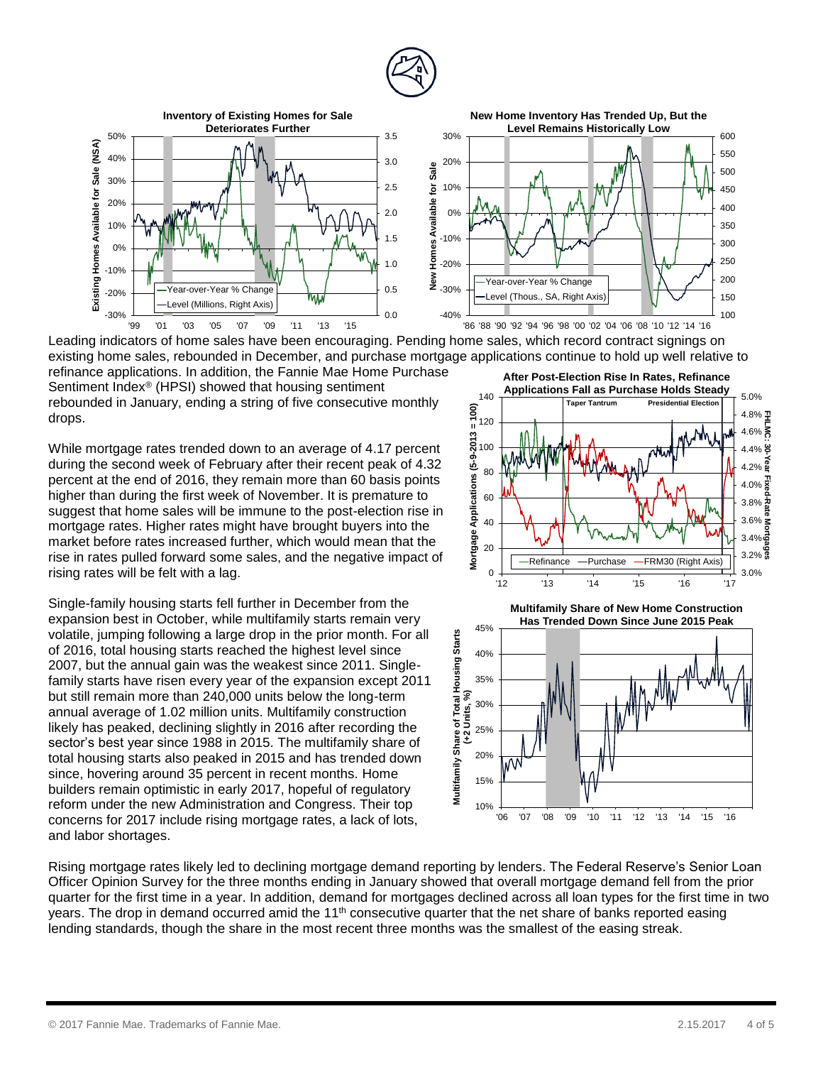



Leading indicators of home sales have been encouraging. Pending home sales, which record contract signings on existing home sales, rebounded in December, and purchase mortgage applications continue to hold up well relative to refinance applications. In addition, the Fannie Mae Home Purchase

Sentiment Index® (HPSI) showed that housing sentiment rebounded in January, ending a string of five consecutive monthly drops.

While mortgage rates trended down to an average of 4.17 percent during the second week of February after their recent peak of 4.32 percent at the end of 2016, they remain more than 60 basis points higher than during the first week of November. It is premature to suggest that home sales will be immune to the post-election rise in mortgage rates. Higher rates might have brought buyers into the market before rates increased further, which would mean that the rise in rates pulled forward some sales, and the negative impact of rising rates will be felt with a lag.

Single-family housing starts fell further in December from the expansion best in October, while multifamily starts remain very volatile, jumping following a large drop in the prior month. For all of 2016, total housing starts reached the highest level since 2007, but the annual gain was the weakest since 2011. Singlefamily starts have risen every year of the expansion except 2011 but still remain more than 240,000 units below the long-term annual average of 1.02 million units. Multifamily construction likely has peaked, declining slightly in 2016 after recording the sector's best year since 1988 in 2015. The multifamily share of total housing starts also peaked in 2015 and has trended down since, hovering around 35 percent in recent months. Home builders remain optimistic in early 2017, hopeful of regulatory reform under the new Administration and Congress. Their top concerns for 2017 include rising mortgage rates, a lack of lots, and labor shortages.





Rising mortgage rates likely led to declining mortgage demand reporting by lenders. The Federal Reserve's Senior Loan Officer Opinion Survey for the three months ending in January showed that overall mortgage demand fell from the prior quarter for the first time in a year. In addition, demand for mortgages declined across all loan types for the first time in two years. The drop in demand occurred amid the 11<sup>th</sup> consecutive quarter that the net share of banks reported easing lending standards, though the share in the most recent three months was the smallest of the easing streak.